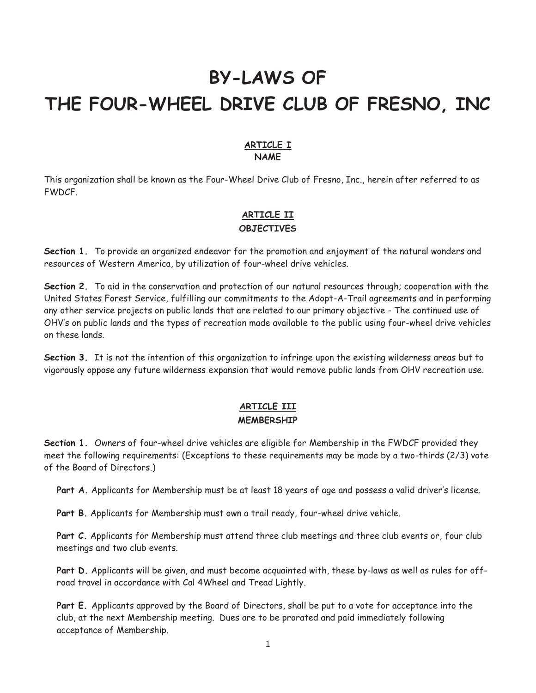# **BY-LAWS OF THE FOUR-WHEEL DRIVE CLUB OF FRESNO, INC**

#### **ARTICLE I NAME**

This organization shall be known as the Four-Wheel Drive Club of Fresno, Inc., herein after referred to as FWDCF.

### **ARTICLE II OBJECTIVES**

**Section 1.** To provide an organized endeavor for the promotion and enjoyment of the natural wonders and resources of Western America, by utilization of four-wheel drive vehicles.

**Section 2.** To aid in the conservation and protection of our natural resources through; cooperation with the United States Forest Service, fulfilling our commitments to the Adopt-A-Trail agreements and in performing any other service projects on public lands that are related to our primary objective - The continued use of OHV's on public lands and the types of recreation made available to the public using four-wheel drive vehicles on these lands.

**Section 3.** It is not the intention of this organization to infringe upon the existing wilderness areas but to vigorously oppose any future wilderness expansion that would remove public lands from OHV recreation use.

## **ARTICLE III MEMBERSHIP**

**Section 1.** Owners of four-wheel drive vehicles are eligible for Membership in the FWDCF provided they meet the following requirements: (Exceptions to these requirements may be made by a two-thirds (2/3) vote of the Board of Directors.)

Part A. Applicants for Membership must be at least 18 years of age and possess a valid driver's license.

**Part B.** Applicants for Membership must own a trail ready, four-wheel drive vehicle.

Part C. Applicants for Membership must attend three club meetings and three club events or, four club meetings and two club events.

**Part D.** Applicants will be given, and must become acquainted with, these by-laws as well as rules for offroad travel in accordance with Cal 4Wheel and Tread Lightly.

**Part E.** Applicants approved by the Board of Directors, shall be put to a vote for acceptance into the club, at the next Membership meeting. Dues are to be prorated and paid immediately following acceptance of Membership.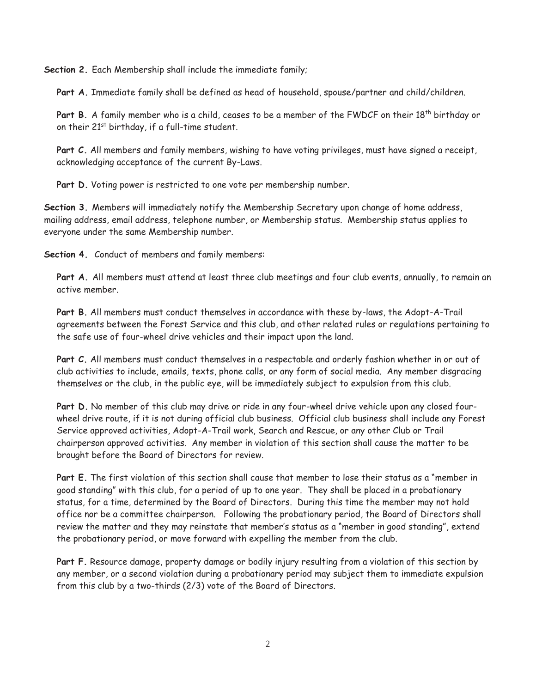**Section 2.** Each Membership shall include the immediate family;

**Part A.** Immediate family shall be defined as head of household, spouse/partner and child/children.

Part B. A family member who is a child, ceases to be a member of the FWDCF on their 18<sup>th</sup> birthday or on their 21<sup>st</sup> birthday, if a full-time student.

**Part C.** All members and family members, wishing to have voting privileges, must have signed a receipt, acknowledging acceptance of the current By-Laws.

Part D. Voting power is restricted to one vote per membership number.

**Section 3.** Members will immediately notify the Membership Secretary upon change of home address, mailing address, email address, telephone number, or Membership status. Membership status applies to everyone under the same Membership number.

**Section 4.** Conduct of members and family members:

**Part A.** All members must attend at least three club meetings and four club events, annually, to remain an active member.

**Part B.** All members must conduct themselves in accordance with these by-laws, the Adopt-A-Trail agreements between the Forest Service and this club, and other related rules or regulations pertaining to the safe use of four-wheel drive vehicles and their impact upon the land.

**Part C.** All members must conduct themselves in a respectable and orderly fashion whether in or out of club activities to include, emails, texts, phone calls, or any form of social media. Any member disgracing themselves or the club, in the public eye, will be immediately subject to expulsion from this club.

**Part D.** No member of this club may drive or ride in any four-wheel drive vehicle upon any closed fourwheel drive route, if it is not during official club business. Official club business shall include any Forest Service approved activities, Adopt-A-Trail work, Search and Rescue, or any other Club or Trail chairperson approved activities. Any member in violation of this section shall cause the matter to be brought before the Board of Directors for review.

**Part E.** The first violation of this section shall cause that member to lose their status as a "member in good standing" with this club, for a period of up to one year. They shall be placed in a probationary status, for a time, determined by the Board of Directors. During this time the member may not hold office nor be a committee chairperson. Following the probationary period, the Board of Directors shall review the matter and they may reinstate that member's status as a "member in good standing", extend the probationary period, or move forward with expelling the member from the club.

**Part F.** Resource damage, property damage or bodily injury resulting from a violation of this section by any member, or a second violation during a probationary period may subject them to immediate expulsion from this club by a two-thirds (2/3) vote of the Board of Directors.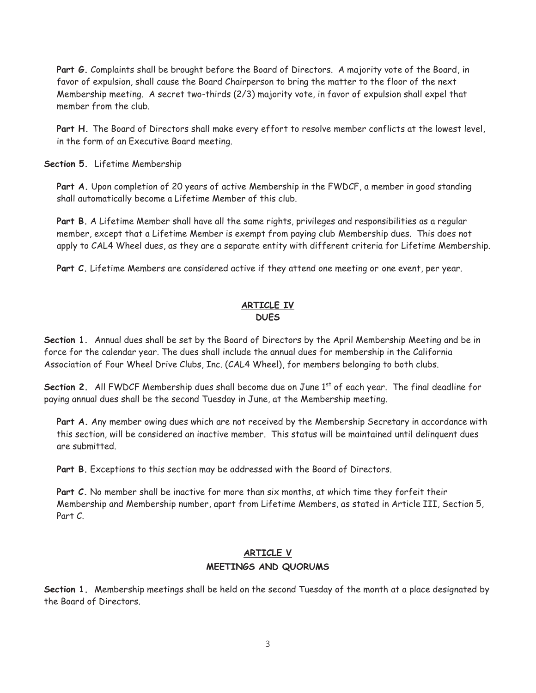**Part G.** Complaints shall be brought before the Board of Directors. A majority vote of the Board, in favor of expulsion, shall cause the Board Chairperson to bring the matter to the floor of the next Membership meeting. A secret two-thirds (2/3) majority vote, in favor of expulsion shall expel that member from the club.

**Part H.** The Board of Directors shall make every effort to resolve member conflicts at the lowest level, in the form of an Executive Board meeting.

**Section 5.** Lifetime Membership

**Part A.** Upon completion of 20 years of active Membership in the FWDCF, a member in good standing shall automatically become a Lifetime Member of this club.

**Part B.** A Lifetime Member shall have all the same rights, privileges and responsibilities as a regular member, except that a Lifetime Member is exempt from paying club Membership dues. This does not apply to CAL4 Wheel dues, as they are a separate entity with different criteria for Lifetime Membership.

Part C. Lifetime Members are considered active if they attend one meeting or one event, per year.

#### **ARTICLE IV DUES**

**Section 1.** Annual dues shall be set by the Board of Directors by the April Membership Meeting and be in force for the calendar year. The dues shall include the annual dues for membership in the California Association of Four Wheel Drive Clubs, Inc. (CAL4 Wheel), for members belonging to both clubs.

**Section 2.** All FWDCF Membership dues shall become due on June 1<sup>st</sup> of each year. The final deadline for paying annual dues shall be the second Tuesday in June, at the Membership meeting.

**Part A.** Any member owing dues which are not received by the Membership Secretary in accordance with this section, will be considered an inactive member. This status will be maintained until delinquent dues are submitted.

**Part B.** Exceptions to this section may be addressed with the Board of Directors.

**Part C.** No member shall be inactive for more than six months, at which time they forfeit their Membership and Membership number, apart from Lifetime Members, as stated in Article III, Section 5, Part C.

### **ARTICLE V MEETINGS AND QUORUMS**

**Section 1.** Membership meetings shall be held on the second Tuesday of the month at a place designated by the Board of Directors.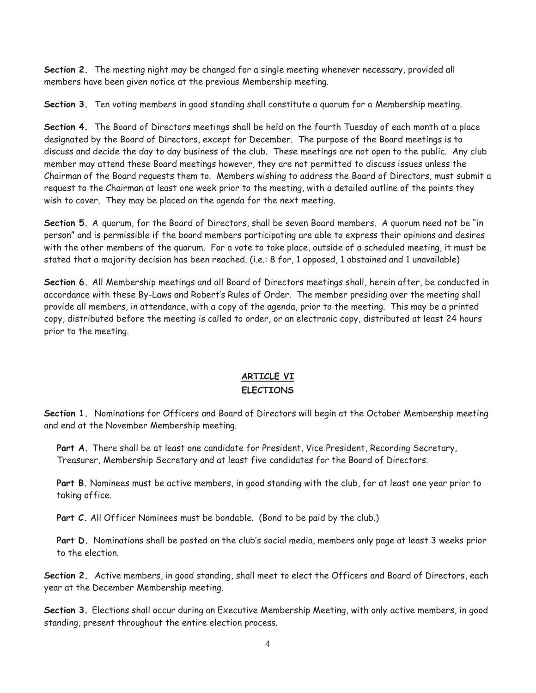**Section 2.** The meeting night may be changed for a single meeting whenever necessary, provided all members have been given notice at the previous Membership meeting.

**Section 3.** Ten voting members in good standing shall constitute a quorum for a Membership meeting.

**Section 4.** The Board of Directors meetings shall be held on the fourth Tuesday of each month at a place designated by the Board of Directors, except for December. The purpose of the Board meetings is to discuss and decide the day to day business of the club. These meetings are not open to the public. Any club member may attend these Board meetings however, they are not permitted to discuss issues unless the Chairman of the Board requests them to. Members wishing to address the Board of Directors, must submit a request to the Chairman at least one week prior to the meeting, with a detailed outline of the points they wish to cover. They may be placed on the agenda for the next meeting.

**Section 5.** A quorum, for the Board of Directors, shall be seven Board members. A quorum need not be "in person" and is permissible if the board members participating are able to express their opinions and desires with the other members of the quorum. For a vote to take place, outside of a scheduled meeting, it must be stated that a majority decision has been reached. (i.e.: 8 for, 1 opposed, 1 abstained and 1 unavailable)

**Section 6.** All Membership meetings and all Board of Directors meetings shall, herein after, be conducted in accordance with these By-Laws and Robert's Rules of Order. The member presiding over the meeting shall provide all members, in attendance, with a copy of the agenda, prior to the meeting. This may be a printed copy, distributed before the meeting is called to order, or an electronic copy, distributed at least 24 hours prior to the meeting.

## **ARTICLE VI ELECTIONS**

**Section 1.** Nominations for Officers and Board of Directors will begin at the October Membership meeting and end at the November Membership meeting.

Part A. There shall be at least one candidate for President, Vice President, Recording Secretary, Treasurer, Membership Secretary and at least five candidates for the Board of Directors.

**Part B.** Nominees must be active members, in good standing with the club, for at least one year prior to taking office.

Part C. All Officer Nominees must be bondable. (Bond to be paid by the club.)

**Part D.** Nominations shall be posted on the club's social media, members only page at least 3 weeks prior to the election.

**Section 2.** Active members, in good standing, shall meet to elect the Officers and Board of Directors, each year at the December Membership meeting.

**Section 3.** Elections shall occur during an Executive Membership Meeting, with only active members, in good standing, present throughout the entire election process.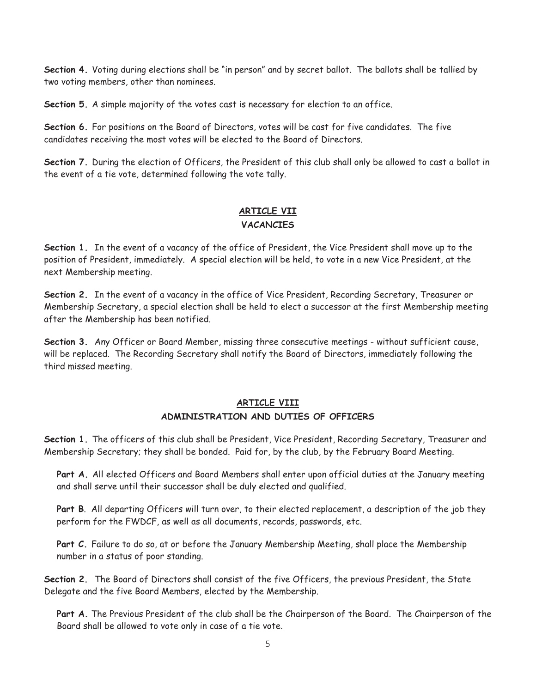**Section 4.** Voting during elections shall be "in person" and by secret ballot. The ballots shall be tallied by two voting members, other than nominees.

**Section 5.** A simple majority of the votes cast is necessary for election to an office.

**Section 6.** For positions on the Board of Directors, votes will be cast for five candidates. The five candidates receiving the most votes will be elected to the Board of Directors.

**Section 7.** During the election of Officers, the President of this club shall only be allowed to cast a ballot in the event of a tie vote, determined following the vote tally.

## **ARTICLE VII VACANCIES**

**Section 1.** In the event of a vacancy of the office of President, the Vice President shall move up to the position of President, immediately. A special election will be held, to vote in a new Vice President, at the next Membership meeting.

**Section 2.** In the event of a vacancy in the office of Vice President, Recording Secretary, Treasurer or Membership Secretary, a special election shall be held to elect a successor at the first Membership meeting after the Membership has been notified.

**Section 3.** Any Officer or Board Member, missing three consecutive meetings - without sufficient cause, will be replaced. The Recording Secretary shall notify the Board of Directors, immediately following the third missed meeting.

## **ARTICLE VIII**

#### **ADMINISTRATION AND DUTIES OF OFFICERS**

**Section 1.** The officers of this club shall be President, Vice President, Recording Secretary, Treasurer and Membership Secretary; they shall be bonded. Paid for, by the club, by the February Board Meeting.

**Part A.** All elected Officers and Board Members shall enter upon official duties at the January meeting and shall serve until their successor shall be duly elected and qualified.

**Part B**. All departing Officers will turn over, to their elected replacement, a description of the job they perform for the FWDCF, as well as all documents, records, passwords, etc.

Part C. Failure to do so, at or before the January Membership Meeting, shall place the Membership number in a status of poor standing.

**Section 2.** The Board of Directors shall consist of the five Officers, the previous President, the State Delegate and the five Board Members, elected by the Membership.

**Part A.** The Previous President of the club shall be the Chairperson of the Board. The Chairperson of the Board shall be allowed to vote only in case of a tie vote.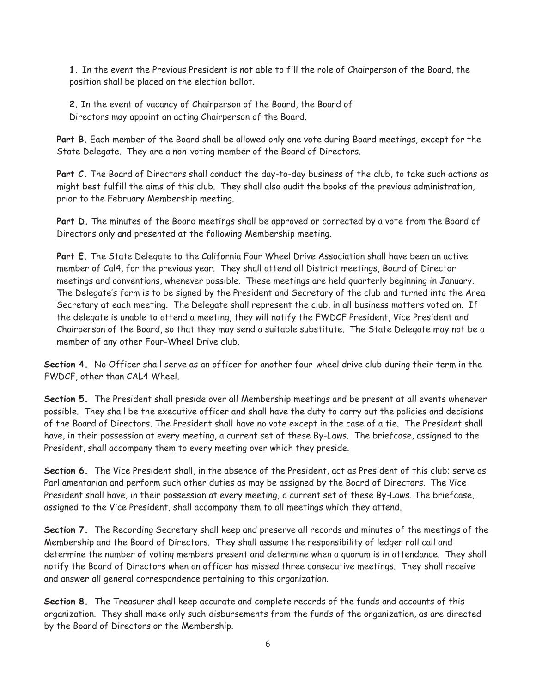**1.** In the event the Previous President is not able to fill the role of Chairperson of the Board, the position shall be placed on the election ballot.

**2.** In the event of vacancy of Chairperson of the Board, the Board of Directors may appoint an acting Chairperson of the Board.

**Part B.** Each member of the Board shall be allowed only one vote during Board meetings, except for the State Delegate. They are a non-voting member of the Board of Directors.

Part C. The Board of Directors shall conduct the day-to-day business of the club, to take such actions as might best fulfill the aims of this club. They shall also audit the books of the previous administration, prior to the February Membership meeting.

**Part D.** The minutes of the Board meetings shall be approved or corrected by a vote from the Board of Directors only and presented at the following Membership meeting.

**Part E.** The State Delegate to the California Four Wheel Drive Association shall have been an active member of Cal4, for the previous year. They shall attend all District meetings, Board of Director meetings and conventions, whenever possible. These meetings are held quarterly beginning in January. The Delegate's form is to be signed by the President and Secretary of the club and turned into the Area Secretary at each meeting. The Delegate shall represent the club, in all business matters voted on. If the delegate is unable to attend a meeting, they will notify the FWDCF President, Vice President and Chairperson of the Board, so that they may send a suitable substitute. The State Delegate may not be a member of any other Four-Wheel Drive club.

**Section 4.** No Officer shall serve as an officer for another four-wheel drive club during their term in the FWDCF, other than CAL4 Wheel.

**Section 5.** The President shall preside over all Membership meetings and be present at all events whenever possible. They shall be the executive officer and shall have the duty to carry out the policies and decisions of the Board of Directors. The President shall have no vote except in the case of a tie. The President shall have, in their possession at every meeting, a current set of these By-Laws. The briefcase, assigned to the President, shall accompany them to every meeting over which they preside.

**Section 6.** The Vice President shall, in the absence of the President, act as President of this club; serve as Parliamentarian and perform such other duties as may be assigned by the Board of Directors. The Vice President shall have, in their possession at every meeting, a current set of these By-Laws. The briefcase, assigned to the Vice President, shall accompany them to all meetings which they attend.

**Section 7.** The Recording Secretary shall keep and preserve all records and minutes of the meetings of the Membership and the Board of Directors. They shall assume the responsibility of ledger roll call and determine the number of voting members present and determine when a quorum is in attendance. They shall notify the Board of Directors when an officer has missed three consecutive meetings. They shall receive and answer all general correspondence pertaining to this organization.

**Section 8.** The Treasurer shall keep accurate and complete records of the funds and accounts of this organization. They shall make only such disbursements from the funds of the organization, as are directed by the Board of Directors or the Membership.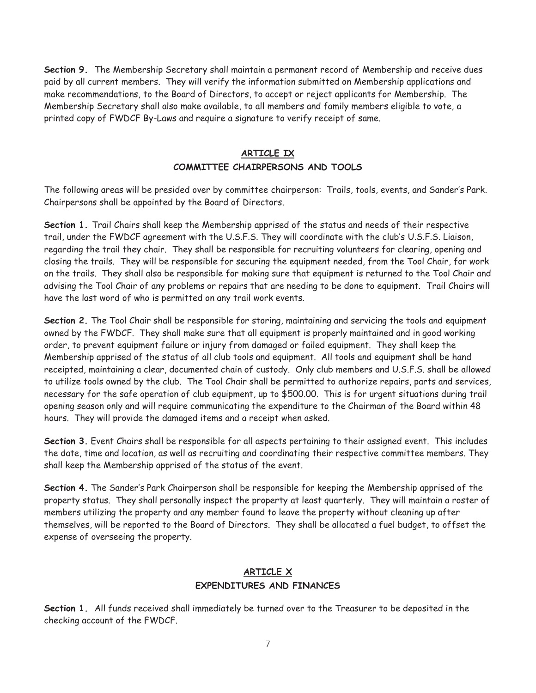**Section 9.** The Membership Secretary shall maintain a permanent record of Membership and receive dues paid by all current members. They will verify the information submitted on Membership applications and make recommendations, to the Board of Directors, to accept or reject applicants for Membership. The Membership Secretary shall also make available, to all members and family members eligible to vote, a printed copy of FWDCF By-Laws and require a signature to verify receipt of same.

### **ARTICLE IX**

#### **COMMITTEE CHAIRPERSONS AND TOOLS**

The following areas will be presided over by committee chairperson: Trails, tools, events, and Sander's Park. Chairpersons shall be appointed by the Board of Directors.

**Section 1.** Trail Chairs shall keep the Membership apprised of the status and needs of their respective trail, under the FWDCF agreement with the U.S.F.S. They will coordinate with the club's U.S.F.S. Liaison, regarding the trail they chair. They shall be responsible for recruiting volunteers for clearing, opening and closing the trails. They will be responsible for securing the equipment needed, from the Tool Chair, for work on the trails. They shall also be responsible for making sure that equipment is returned to the Tool Chair and advising the Tool Chair of any problems or repairs that are needing to be done to equipment. Trail Chairs will have the last word of who is permitted on any trail work events.

**Section 2.** The Tool Chair shall be responsible for storing, maintaining and servicing the tools and equipment owned by the FWDCF. They shall make sure that all equipment is properly maintained and in good working order, to prevent equipment failure or injury from damaged or failed equipment. They shall keep the Membership apprised of the status of all club tools and equipment. All tools and equipment shall be hand receipted, maintaining a clear, documented chain of custody. Only club members and U.S.F.S. shall be allowed to utilize tools owned by the club. The Tool Chair shall be permitted to authorize repairs, parts and services, necessary for the safe operation of club equipment, up to \$500.00. This is for urgent situations during trail opening season only and will require communicating the expenditure to the Chairman of the Board within 48 hours. They will provide the damaged items and a receipt when asked.

**Section 3.** Event Chairs shall be responsible for all aspects pertaining to their assigned event. This includes the date, time and location, as well as recruiting and coordinating their respective committee members. They shall keep the Membership apprised of the status of the event.

**Section 4.** The Sander's Park Chairperson shall be responsible for keeping the Membership apprised of the property status. They shall personally inspect the property at least quarterly. They will maintain a roster of members utilizing the property and any member found to leave the property without cleaning up after themselves, will be reported to the Board of Directors. They shall be allocated a fuel budget, to offset the expense of overseeing the property.

## **ARTICLE X EXPENDITURES AND FINANCES**

**Section 1.** All funds received shall immediately be turned over to the Treasurer to be deposited in the checking account of the FWDCF.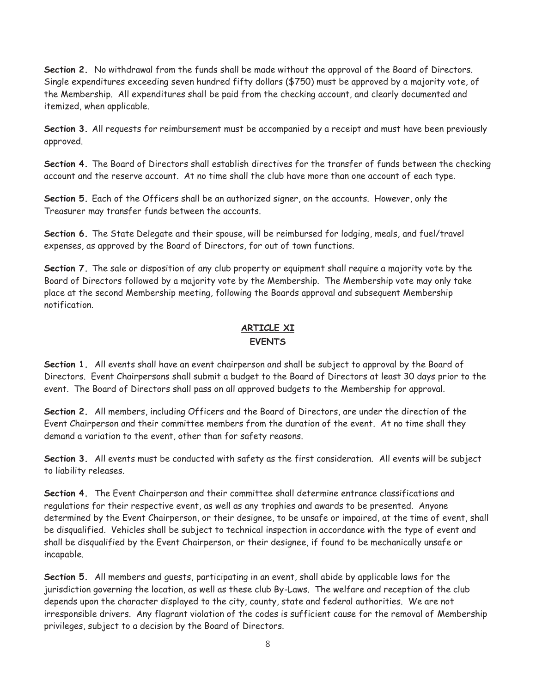**Section 2.** No withdrawal from the funds shall be made without the approval of the Board of Directors. Single expenditures exceeding seven hundred fifty dollars (\$750) must be approved by a majority vote, of the Membership. All expenditures shall be paid from the checking account, and clearly documented and itemized, when applicable.

**Section 3.** All requests for reimbursement must be accompanied by a receipt and must have been previously approved.

**Section 4.** The Board of Directors shall establish directives for the transfer of funds between the checking account and the reserve account. At no time shall the club have more than one account of each type.

**Section 5.** Each of the Officers shall be an authorized signer, on the accounts. However, only the Treasurer may transfer funds between the accounts.

**Section 6.** The State Delegate and their spouse, will be reimbursed for lodging, meals, and fuel/travel expenses, as approved by the Board of Directors, for out of town functions.

**Section 7.** The sale or disposition of any club property or equipment shall require a majority vote by the Board of Directors followed by a majority vote by the Membership. The Membership vote may only take place at the second Membership meeting, following the Boards approval and subsequent Membership notification.

## **ARTICLE XI EVENTS**

**Section 1.** All events shall have an event chairperson and shall be subject to approval by the Board of Directors. Event Chairpersons shall submit a budget to the Board of Directors at least 30 days prior to the event. The Board of Directors shall pass on all approved budgets to the Membership for approval.

**Section 2.** All members, including Officers and the Board of Directors, are under the direction of the Event Chairperson and their committee members from the duration of the event. At no time shall they demand a variation to the event, other than for safety reasons.

Section 3. All events must be conducted with safety as the first consideration. All events will be subject to liability releases.

**Section 4.** The Event Chairperson and their committee shall determine entrance classifications and regulations for their respective event, as well as any trophies and awards to be presented. Anyone determined by the Event Chairperson, or their designee, to be unsafe or impaired, at the time of event, shall be disqualified. Vehicles shall be subject to technical inspection in accordance with the type of event and shall be disqualified by the Event Chairperson, or their designee, if found to be mechanically unsafe or incapable.

**Section 5.** All members and guests, participating in an event, shall abide by applicable laws for the jurisdiction governing the location, as well as these club By-Laws. The welfare and reception of the club depends upon the character displayed to the city, county, state and federal authorities. We are not irresponsible drivers. Any flagrant violation of the codes is sufficient cause for the removal of Membership privileges, subject to a decision by the Board of Directors.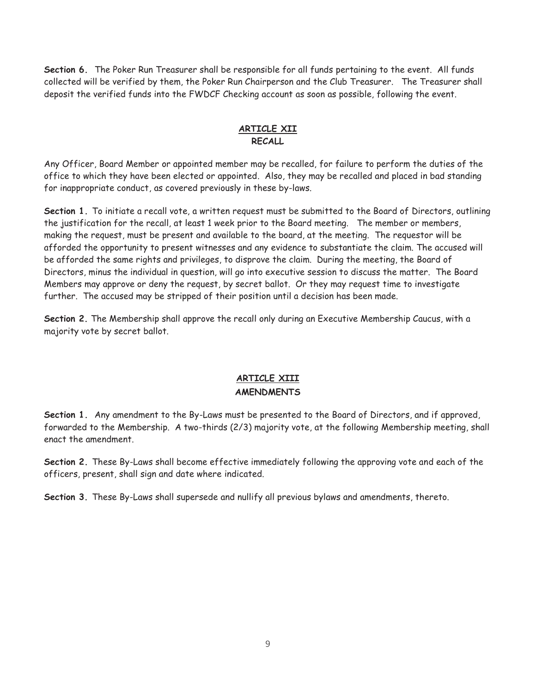**Section 6.** The Poker Run Treasurer shall be responsible for all funds pertaining to the event. All funds collected will be verified by them, the Poker Run Chairperson and the Club Treasurer. The Treasurer shall deposit the verified funds into the FWDCF Checking account as soon as possible, following the event.

#### **ARTICLE XII RECALL**

Any Officer, Board Member or appointed member may be recalled, for failure to perform the duties of the office to which they have been elected or appointed. Also, they may be recalled and placed in bad standing for inappropriate conduct, as covered previously in these by-laws.

**Section 1.** To initiate a recall vote, a written request must be submitted to the Board of Directors, outlining the justification for the recall, at least 1 week prior to the Board meeting. The member or members, making the request, must be present and available to the board, at the meeting. The requestor will be afforded the opportunity to present witnesses and any evidence to substantiate the claim. The accused will be afforded the same rights and privileges, to disprove the claim. During the meeting, the Board of Directors, minus the individual in question, will go into executive session to discuss the matter. The Board Members may approve or deny the request, by secret ballot. Or they may request time to investigate further. The accused may be stripped of their position until a decision has been made.

**Section 2.** The Membership shall approve the recall only during an Executive Membership Caucus, with a majority vote by secret ballot.

## **ARTICLE XIII AMENDMENTS**

**Section 1.** Any amendment to the By-Laws must be presented to the Board of Directors, and if approved, forwarded to the Membership. A two-thirds (2/3) majority vote, at the following Membership meeting, shall enact the amendment.

**Section 2.** These By-Laws shall become effective immediately following the approving vote and each of the officers, present, shall sign and date where indicated.

**Section 3.** These By-Laws shall supersede and nullify all previous bylaws and amendments, thereto.